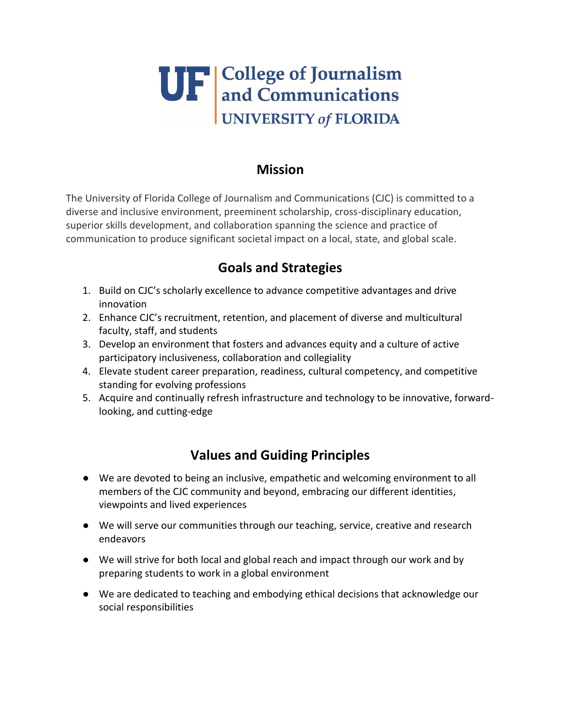## **UF** College of Journalism<br>and Communications<br>UNIVERSITY of FLORIDA

## **Mission**

The University of Florida College of Journalism and Communications (CJC) is committed to a diverse and inclusive environment, preeminent scholarship, cross-disciplinary education, superior skills development, and collaboration spanning the science and practice of communication to produce significant societal impact on a local, state, and global scale.

## **Goals and Strategies**

- 1. Build on CJC's scholarly excellence to advance competitive advantages and drive innovation
- 2. Enhance CJC's recruitment, retention, and placement of diverse and multicultural faculty, staff, and students
- 3. Develop an environment that fosters and advances equity and a culture of active participatory inclusiveness, collaboration and collegiality
- 4. Elevate student career preparation, readiness, cultural competency, and competitive standing for evolving professions
- 5. Acquire and continually refresh infrastructure and technology to be innovative, forwardlooking, and cutting-edge

## **Values and Guiding Principles**

- We are devoted to being an inclusive, empathetic and welcoming environment to all members of the CJC community and beyond, embracing our different identities, viewpoints and lived experiences
- We will serve our communities through our teaching, service, creative and research endeavors
- We will strive for both local and global reach and impact through our work and by preparing students to work in a global environment
- We are dedicated to teaching and embodying ethical decisions that acknowledge our social responsibilities